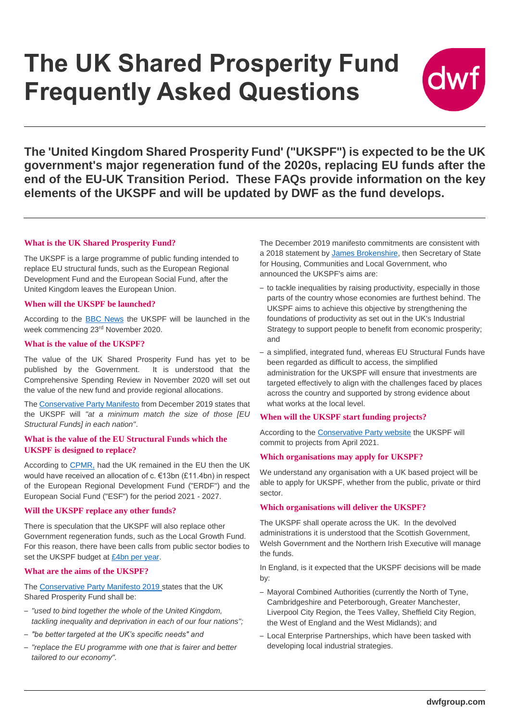# **The UK Shared Prosperity Fund Frequently Asked Questions**



**The 'United Kingdom Shared Prosperity Fund' ("UKSPF") is expected to be the UK government's major regeneration fund of the 2020s, replacing EU funds after the end of the EU-UK Transition Period. These FAQs provide information on the key elements of the UKSPF and will be updated by [DWF](https://www.dwf.law/Sectors/Public-Sector/#sectorTab=how-can-we-help-tab) as the fund develops.**

### **What is the UK Shared Prosperity Fund?**

The UKSPF is a large programme of public funding intended to replace EU structural funds, such as the European Regional Development Fund and the European Social Fund, after the United Kingdom leaves the European Union.

#### **When will the UKSPF be launched?**

According to the [BBC News](https://www.bbc.co.uk/news/business-55022162) the UKSPF will be launched in the week commencing 23rd November 2020.

#### **What is the value of the UKSPF?**

The value of the UK Shared Prosperity Fund has yet to be published by the Government. It is understood that the Comprehensive Spending Review in November 2020 will set out the value of the new fund and provide regional allocations.

The [Conservative Party Manifesto](https://vote.conservatives.com/our-plan) from December 2019 states that the UKSPF will *"at a minimum match the size of those [EU Structural Funds] in each nation"*.

#### **What is the value of the EU Structural Funds which the UKSPF is designed to replace?**

According to [CPMR,](https://cpmr.org/cohesion/cpmr-analysis-uk-to-lose-e13bn-regional-funding-post-brexit/20525/) had the UK remained in the EU then the UK would have received an allocation of c. €13bn (£11.4bn) in respect of the European Regional Development Fund ("ERDF") and the European Social Fund ("ESF") for the period 2021 - 2027.

#### **Will the UKSPF replace any other funds?**

There is speculation that the UKSPF will also replace other Government regeneration funds, such as the Local Growth Fund. For this reason, there have been calls from public sector bodies to set the UKSPF budget at [£4bn per year.](https://newstartmag.co.uk/articles/councils-call-for-uk-shared-prosperity-fund-to-be-worth-4bn/)

#### **What are the aims of the UKSPF?**

The [Conservative Party Manifesto 2019](https://assets-global.website-files.com/5da42e2cae7ebd3f8bde353c/5dda924905da587992a064ba_Conservative%202019%20Manifesto.pdf) states that the UK Shared Prosperity Fund shall be:

- *"used to bind together the whole of the United Kingdom, tackling inequality and deprivation in each of our four nations";*
- *"be better targeted at the UK's specific needs" and*
- *"replace the EU programme with one that is fairer and better tailored to our economy".*

The December 2019 manifesto commitments are consistent with a 2018 statement by [James Brokenshire,](https://www.parliament.uk/business/publications/written-questions-answers-statements/written-statement/Commons/2018-07-24/HCWS927/) then Secretary of State for Housing, Communities and Local Government, who announced the UKSPF's aims are:

- to tackle inequalities by raising productivity, especially in those parts of the country whose economies are furthest behind. The UKSPF aims to achieve this objective by strengthening the foundations of productivity as set out in the UK's Industrial Strategy to support people to benefit from economic prosperity; and
- a simplified, integrated fund, whereas EU Structural Funds have been regarded as difficult to access, the simplified administration for the UKSPF will ensure that investments are targeted effectively to align with the challenges faced by places across the country and supported by strong evidence about what works at the local level.

#### **When will the UKSPF start funding projects?**

According to the [Conservative Party website](https://vote.conservatives.com/our-commitments/uk-shared-prosperity-fund) the UKSPF will commit to projects from April 2021.

#### **Which organisations may apply for UKSPF?**

We understand any organisation with a UK based project will be able to apply for UKSPF, whether from the public, private or third sector.

## **Which organisations will deliver the UKSPF?**

The UKSPF shall operate across the UK. In the devolved administrations it is understood that the Scottish Government, Welsh Government and the Northern Irish Executive will manage the funds.

In England, is it expected that the UKSPF decisions will be made by:

- Mayoral Combined Authorities (currently the North of Tyne, Cambridgeshire and Peterborough, Greater Manchester, Liverpool City Region, the Tees Valley, Sheffield City Region, the West of England and the West Midlands); and
- Local Enterprise Partnerships, which have been tasked with developing local industrial strategies.